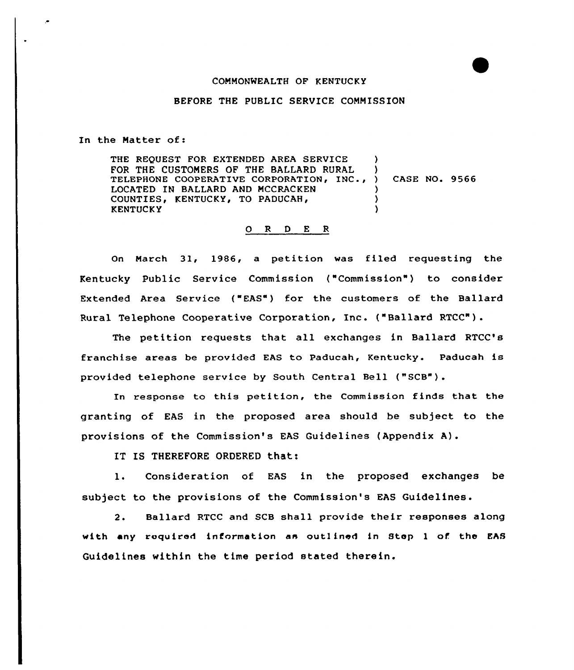### COMMONWEALTH OF KENTUCKY

#### BEFORE THE PUBLIC SERVICE COMMISSION

In the Matter of:

THE REQUEST FOR EXTENDED AREA SERVICE FOR THE CUSTOMERS OF THE BALLARD RURAL FOR THE CUSTOMERS OF THE BALLARD RURAL (1998)<br>TELEPHONE COOPERATIVE CORPORATION, INC., ) LOCATED IN BALLARD AND MCCRACKEN COUNTIES, KENTUCKY, TO PADUCAH, **KENTUCKY** ) ) CASE NO. 9566 ) ) )

### 0 <sup>R</sup> <sup>D</sup> E <sup>R</sup>

On March 31, 1986, a petition was filed requesting the Kentucky Public Service Commission ("Commission') to consider Extended Area Service {"EAS") for the customers of the Ballard Rural Telephone Cooperative Corporation, Inc. ("Ballard RTCC").

The petition requests that all exchanges in Ballard RTCC's franchise areas be provided EAS to Paducah, Kentucky. Paducah is provided telephone service by South Central Bell ("SCB").

In response to this petition, the Commission finds that the granting of EAS in the proposed area should be subject to the provisions of the Commission's EAS Guidelines (Appendix A).

IT IS THEREFORE ORDERED that:

l. Consideration of EAS in the proposed exchanges be subject to the provisions of the Commission's EAS Guidelines.

2. Ballard RTCC and SCB shall provide their responses along with any roquired information as outlined in Step <sup>1</sup> of. the EAS Guidelines within the time period stated therein.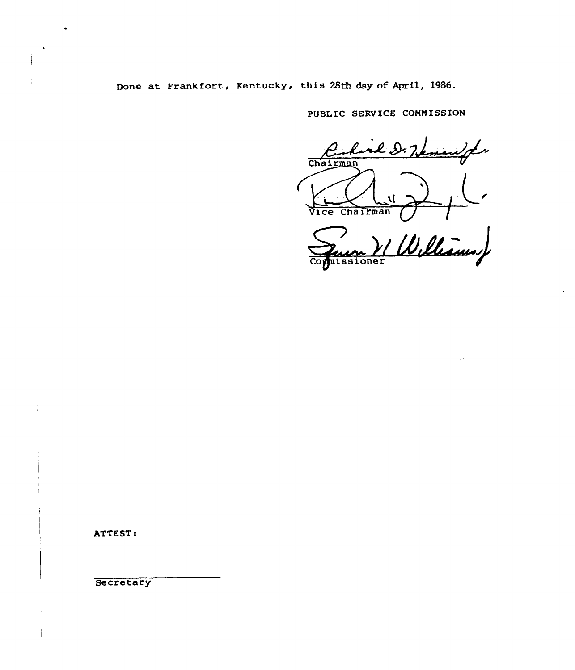Done at Frankfort, Kentucky, this 28th day of April, 1986.

PUBLIC SERVICE COMNISSION

رمر Chairman Vice Chairman

VI Williams oner

ATTEST:

**Secretary**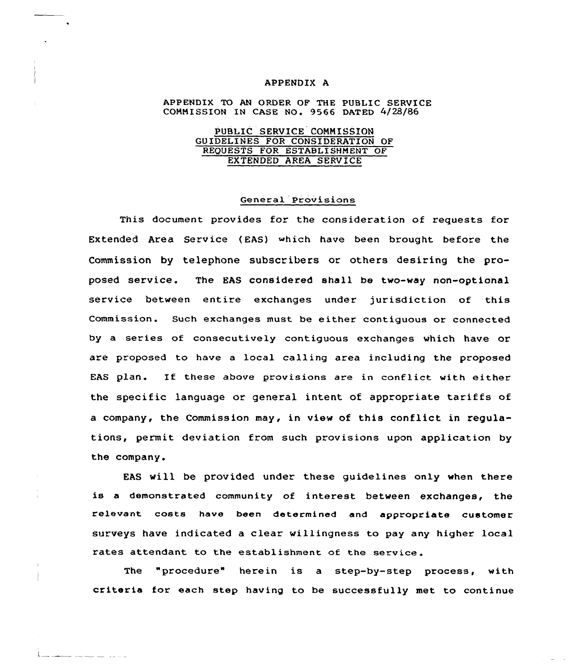#### APPENDIX A

# APPENDIX TO AN ORDER OF THE PUBLIC SERVICE COMMISSION IN CASE NO. 9566 DATED 4/28/86

## PUBLIC SERVICE CONNISSION GUIDELINES FOR CONSIDERATION OF REQUESTS FOR ESTABLISHMENT OF EXTENDED AREA SERVICE

## General Provisions

This document provides for the consideration of requests for Extended Area Service ( EAS) which have been brought before the Commission by telephone subscribers or others desiring the proposed service. The EAS considered shall be two-way non-optional service between entire exchanges under jurisdiction of this Commission. Such exchanges must be either contiguous or connected by a series of consecutively contiguous exchanges which have or are proposed to have a local calling area including the proposed EAS plan. If these above provisions are in conflict with either the specific language or general intent of appropriate tariffs of a company, the Commission may, in view of this conflict in regulations, permit deviation from such provisions upon application by the company.

EAS will be provided under these guidelines only when there is <sup>a</sup> demonstrated community of interest between exchanges, the relevant costs have been determined and appropriate customer surveys have indicated a clear willingness to pay any higher local rates attendant to the establishment of the service.

The "procedure" herein is a step-by-step process, with criteria for each step having to be successfully met to continue

2012-2020 - 2020 - 2020 - 2020 - 2020 - 2020 - 2020 - 2020 - 2020 - 2020 - 2020 - 2020 - 2020 - 2020 - 2020 -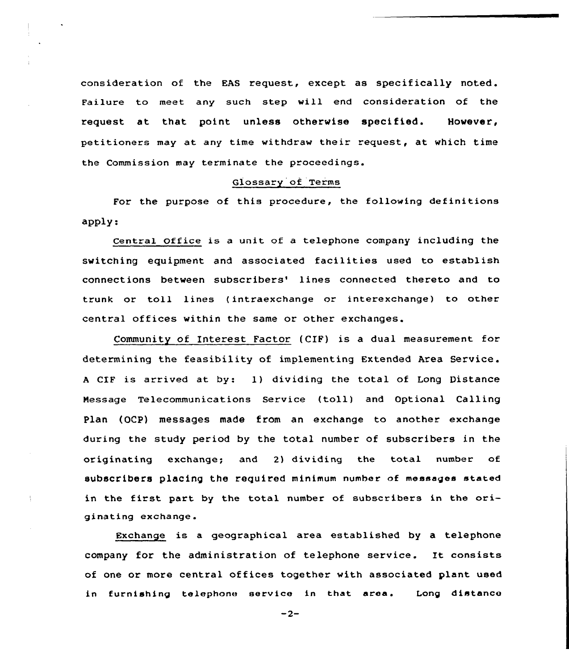consideration of the EAS request, except as specifically noted. Failure to meet any such step will end consideration of the request at that point unless otherwise specified. However, petitioners may at any time withdraw their request, at which time the Commission may terminate the proceedings.

# Glossary of Terms

For the purpose of this procedure, the following definitions  $apply:$ 

Central Office is a unit of a telephone company including the switching equipment and associated facilities used to establish connections between subscribers' lines connected thereto and to trunk or toll lines ( intraexchange or interexchange) to other central offices within the same or other exchanges.

Community of Interest Factor (CIF) is a dual measurement for determining the feasibility of implementing Extended Area Service. <sup>A</sup> CIF is arrived at by: l) dividing the total of Long Distance Nessage Telecommunications Service (toll) and Optional Calling Plan (OCP) messages made from an exchange to another exchange during the study period by the total number of subscribers in the originating exchange; and 2) dividing the total number of subscribers placing the required minimum number of messages stated in the first part by the total number of subscribers in the originating exchange.

Exchange is a geographical area established by a telephone company for the administration of telephone service. It consists of one or more central offices together with associated plant used in furnishing telephon» service in that area. Long distance

 $-2-$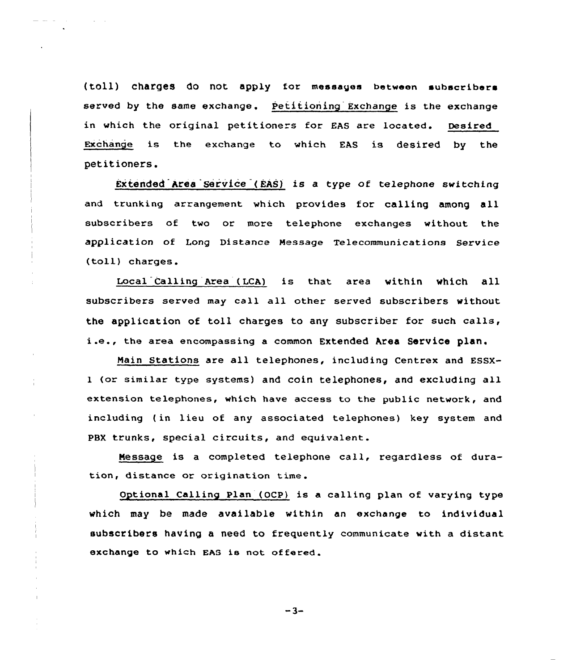(toll) charges do not apply for messages between subscribers served by the same exchange. Petitioning Exchange is the exchange in which the original petitioners for EAS are located. Desired Exchange is the exchange to which EAS is desired by the petitioners.

Extended Area Service ( EAS) is a type of telephone switching and trunking arrangement which provides for calling among all subscribers of two or more telephone exchanges without the application of Long Distance Message Telecommunications Service (toll) charges.

Local Calling Area ( LCA) is that area within which all subscribers served may call all other served subscribers without the application of toll charges to any subscriber for such calls, i.e., the area encompassing <sup>a</sup> common Extended Area Service plan.

Main Stations are all telephones, including Centrex and ESSX-1 (or similar type systems) and coin telephones, and excluding all extension telephones, which have access to the public network, and including ( in lieu of any associated telephones) key system and PBX trunks, special circuits, and equivalent.

Message is <sup>a</sup> completed telephone call, regardless of duration, distance or origination time.

Optional Calling Plan (OCP} is a calling plan of varying type which may be made available within an exchange to individual subscribers having a need to frequently communicate with a distant exchange to which EAS is not offered.

 $-3-$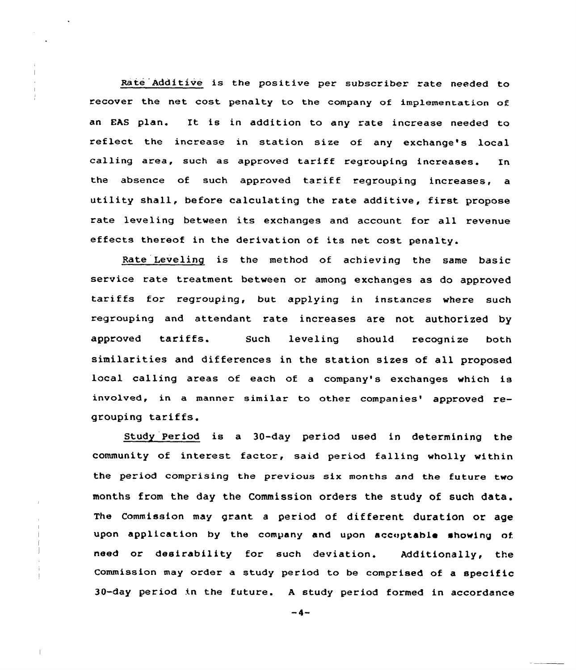Rate Additive is the positive per subscriber rate needed to recover the net cost penalty to the company of implementation of an EAS plan. It is in addition to any rate increase needed to reflect the increase in station size of any exchange's local calling area, such as approved tariff regrouping increases. In the absence of such approved tariff regrouping increases, a utility shall, before calculating the rate additive, first propose rate leveling between its exchanges and account for all revenue effects thereof in the derivation of its net cost penalty.

Rate Leveling is the method of achieving the same basic service rate treatment between or among exchanges as do approved tariffs for regrouping, but applying in instances where such regrouping and attendant rate increases are not authorized by approved tariffs. Such leveling should recognize both similarities and differences in the station sizes of all proposed local calling areas of each of a company's exchanges which is involved, in a manner similar to other companies' approved regrouping tariffs.

Study Period is a 30-day period used in determining the community of interest factor, said period falling wholly within the period comprising the previous six months and the future two months from the day the Commission orders the study of such data. The Commission may grant a period of different duration or age upon application by the company and upon acceptable showing of need or desirability for such deviation. Additionally, the commission may order a study period to be comprised of a specific 30-day period in the future. <sup>A</sup> study period formed in accordance

 $-4-$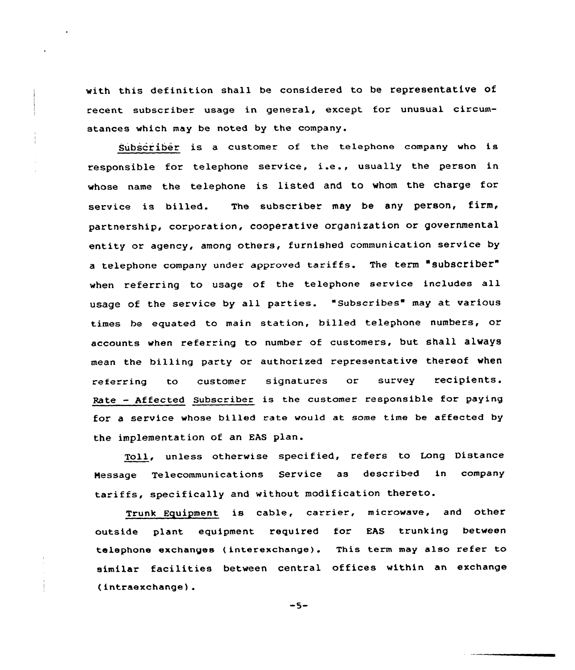with this definition shall be considered to be representative of recent subscriber usage in general, except for unusual circumstances which may be noted by the company.

Subscriber is a customer of the telephone company who is responsible for telephone service, i.e., usually the person in whose name the telephone is listed and to whom the charge for service is billed. The subscriber may be any person, firm, partnership, corporation, cooperative organization or governmental entity or agency, among others, furnished communication service by <sup>a</sup> telephone company under approved tariffs. The term "subscriber" when referring to usage of the telephone service includes all usage of the service by all parties. "Subscribes" may at various times he equated to main station, billed telephone numbers, or accounts when referring to number of customers, but shall always mean the billing party or authorized representative thereof when referring to customer signatures or survey recipients. Rate - Affected Subscriber is the customer responsible for paying for a service whose billed rate would at some time be affected by the implementation of an EAS plan.

Toll, unless otherwise specified, refers to Long Distance Message Telecommunications Service as described in company tariffs, specifically and without modification thereto.

Trunk Equipment is cable, carrier, microwave, and other outside plant equipment required for EAS trunking between telephone exchanges (interexchange). This term may also refer to similar facilities between central of fices within an exchange (intraexchange).

$$
-5-
$$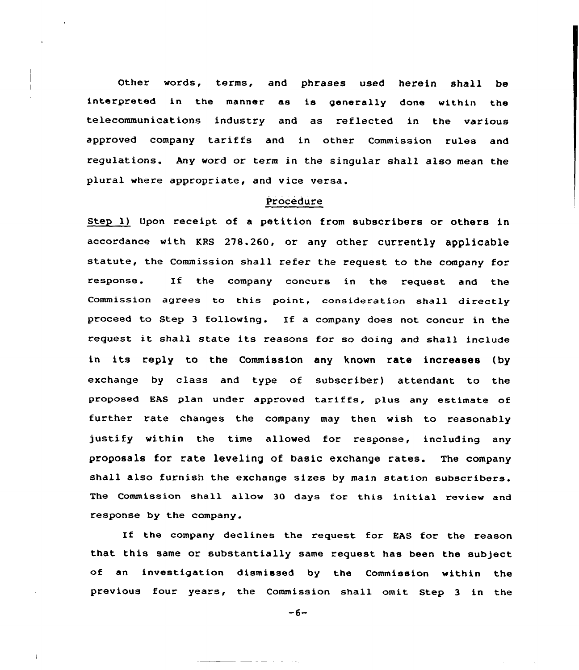Other words, terms, and phrases used herein shall be interpreted in the manner as is generally done within the telecommunications industry and as reflected in the various approved company tariffs and in other Commission rules and regulations. Any word or term in the singular shall also mean the plural where appropriate, and vice versa.

# Procedure

Step 1) Upon receipt of a petition from subscribers or others in accordance with KRS 278.260, or any other currently applicable statute, the Commission shall refer the request to the company for response. If the company concurs in the request and the Commission agrees to this point, consideration shall directly proceed to Step <sup>3</sup> following. If <sup>a</sup> company does not concur in the request it shall state its reasons for so doing and shall include in its reply to the Commission any known rate increases (by exchange by class and type of subscriber) attendant to the proposed EAS plan under approved tariffs, plus any estimate of further rate changes the company may then wish to reasonably justify within the time allowed for response, including any proposals for rate leveling of basic exchange rates. The company shall also furnish the exchange sizes by main station subscribers. The Commission shall allow 30 days for this initial review and response by the company.

If the company declines the request for EAS for the reason that this same or substantially same request has been the subject of an investigation dismissed by the Commission within the previous four years, the Commission shall omit Step 3 in the

 $-6-$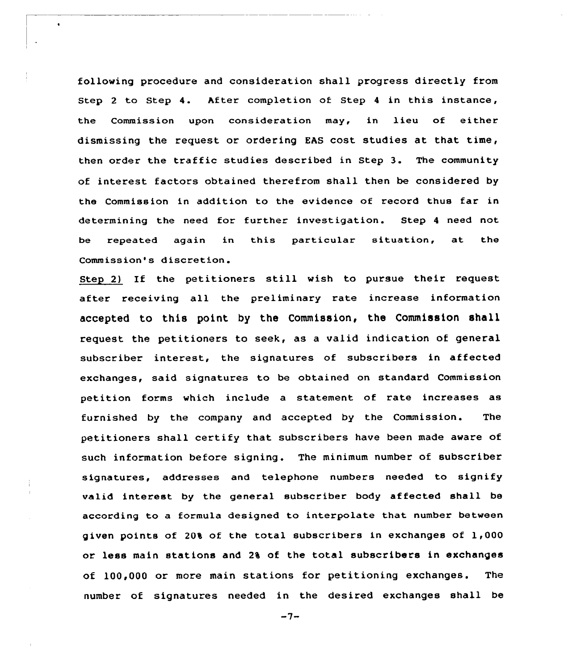following procedure and consideration shall progress directly from Step 2 to Step 4. After completion of Step 4 in this instance, the Commission upon consideration may, in lieu of either dismissing the request or ordering EAS cost studies at that time, then order the traffic studies described in Step 3. The community of interest factors obtained therefrom shall then be considered by the Commission in addition to the evidence of record thus far in determining the need for further investigation. Step <sup>4</sup> need not be repeated again in this particular situation, at the Commission's discretion.

Step 2) If the petitioners still wish to pursue their request after receiving all the preliminary rate increase information accepted to this point by the Commission, the Commission shall request the petitioners to seek, as a valid indication of general subscriber interest, the signatures of subscribers in affected exchanges, said signatures to be obtained on standard Commission petition forms which include a statement of rate increases as furnished by the company and accepted by the Commission. The petitioners shall certify that subscribers have been made aware of such information before signing. The minimum number of subscriber signatures, addresses and telephone numbers needed to signify valid interest by the general subscriber body affected shall be according to a formula designed to interpolate that number between given points of 20% of the total subscribers in exchanges of 1,000 or less main stations and 2% of the total subscribers in exchanges of 100,000 or more main stations for petitioning exchanges. The number of signatures needed in the desired exchanges shall be

 $-7-$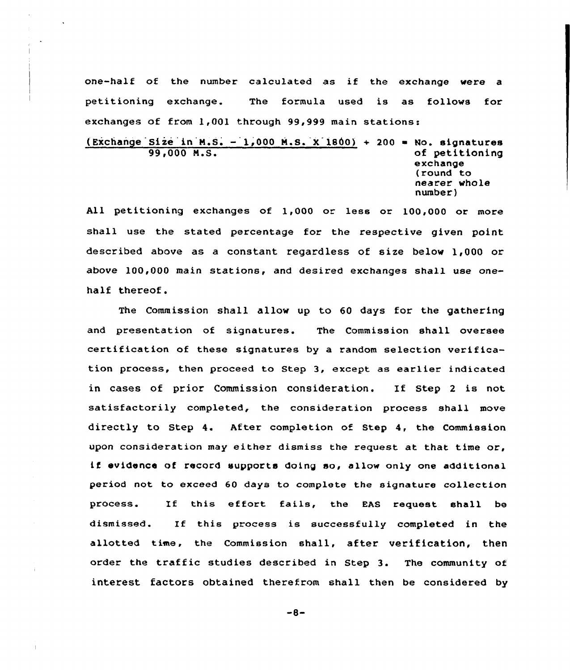one-half of the number calculated as if the exchange were <sup>a</sup> petitioning exchange. The formula used is as follows for exchanges of from 1,001 through 99,999 main stations:

 $(\text{Exchange 51ze in M.S. - 1,000 M.S. X 1800) + 200 = No. signatures  
99.000 M.S. of  $\text{petitioning}$$ of petitioning exchange (round to nearer whole number}

All petitioning exchanges of 1,000 or less or 100,000 or more shall use the stated percentage for the respective given point described above as a constant regardless of size belov 1,000 or above  $100,000$  main stations, and desired exchanges shall use onehalf thereof.

The Commission shall allow up to 60 days for the gathering and presentation of signatures. The Commission shall oversee certification of these signatures by a random selection verification process, then proceed to Step 3, except as earlier indicated in cases of prior Commission consideration. If Step <sup>2</sup> is not satisfactorily completed, the consideration process shall move directly to Step 4. After completion of Step 4, the Commission upon consideration may either dismiss the request at that time or, if evidence of record supports doing so, allow only one additional period not to exceed 60 days to complete the signature collection process. If this effort fails, the EAS request shall be dismissed. If this process is successfully completed in the allotted time, the Commission shall, after verification, then order the traffic studies described in Step 3. The community of interest factors obtained therefrom shall then be considered by

 $-8-$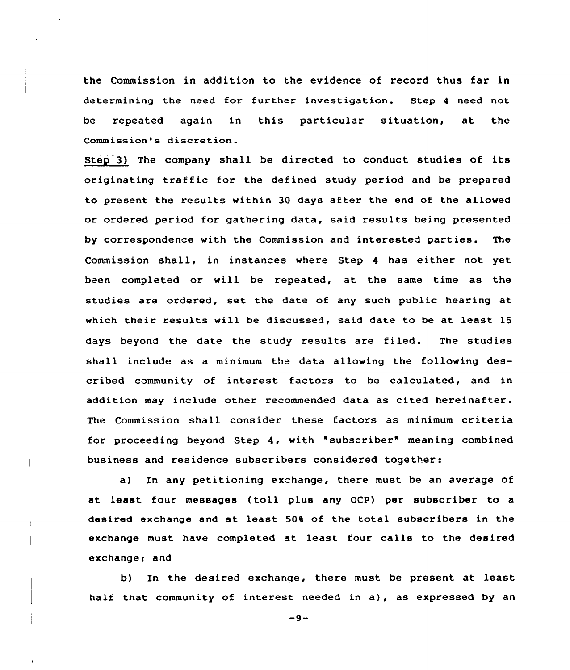the Commission in addition to the evidence of record thus far in determining the need for further investigation. Step <sup>4</sup> need not be repeated again in this particular situation, at the Commission's discretion.

Step 3) The company shall be directed to conduct studies of its originating traffic for the defined study period and be prepared to present the results vithin 30 days after the end of the allowed or ordered period for gathering data, said results being presented by correspondence with the Commission and interested parties. The Commission shall, in instances where Step <sup>4</sup> has either not yet been completed or vill be repeated, at the same time as the studies are ordered, set. the date of any such public hearing at which their results will be discussed, said date to be at least 15 days beyond the date the study results are filed. The studies shall include as a minimum the data allowing the following described community of interest factors to be calculated, and in addition may include other recommended data as cited hereinafter. The Commission shall consider these factors as minimum criteria for proceeding beyond Step 4, with "subscriber" meaning combined business and residence subscribers considered together:

a) In any petitioning exchange, there must be an average of at least four messages (to11 plus any OCP) per subscriber to a desired exchange and at least 50% of the total subscribers in the exchange must have completed at least four calls to the desired exchange; and

b) In the desired exchange, there must be present at least half that community of interest needed in a), as expressed by an

 $-9-$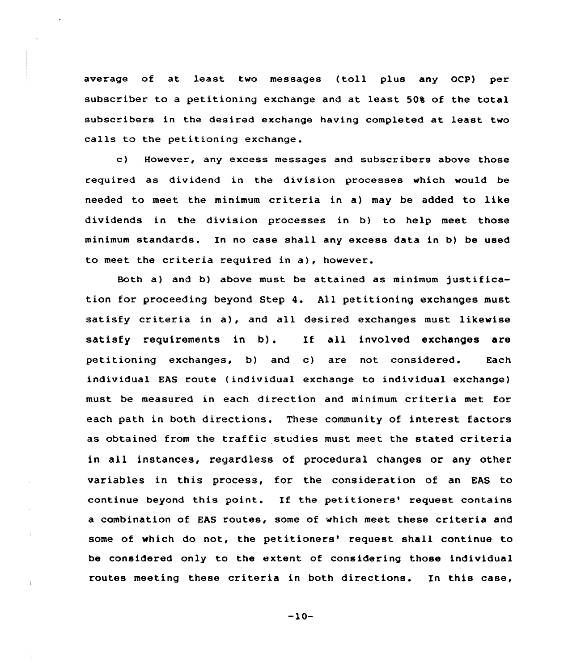average of at least two messages (toll plus any OCP) per subscriber to a petitioning exchange and at least 504 of the total subscribers in the desired exchange having completed at least two calls to the petitioning exchange.

c) However, any excess messages and subscribers above those required as dividend in the division processes which would be needed to meet the minimum criteria in a) may be added to like dividends in the division processes in b) to help meet those minimum standards. In no case shall any excess data in b) be used to meet the criteria required in a), however.

Both a) and b) above must be attained as minimum justification for proceeding beyond Step 4. All petitioning exchanges must satisfy criteria in a), and all desired exchanges must likewise satisfy requirements in b). If all involved exchanges are petitioning exchanges, b) and c) are not considered. Each individual EAS route (individual exchange to individual exchange) must be measured in each direction and minimum criteria met for each path in both directions. These community of interest factors as obtained from the traffic studies must meet the stated criteria in all instances, regardless of procedural changes or any other variables in this process, for the consideration of an EAS to continue beyond this point. If the petitioners' request contains a combination of EAS routes, some of which meet these criteria and some of which do not, the petitioners' request shall continue to be considered only to the extent of considering those individual routes meeting these criteria in both directions. In this case,

 $-10-$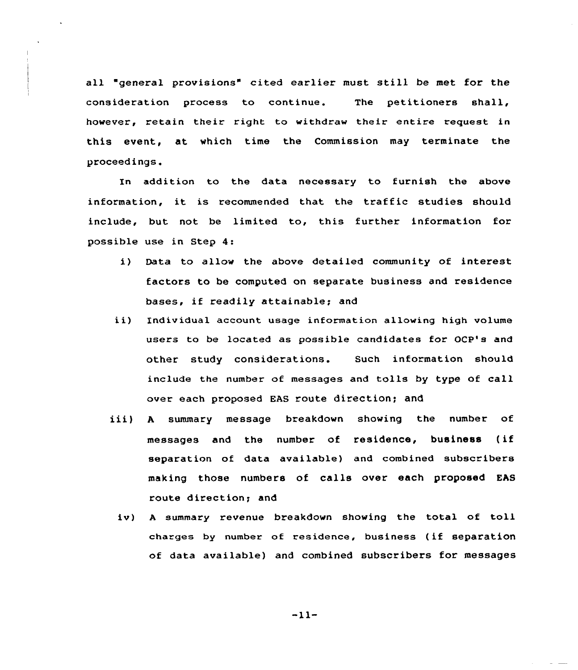all general provisions" cited earlier must still be met for the consideration process to continue. The petitioners shall, however, retain their right to withdraw their entire request in this event, at which time the Commission may terminate the proceedings.

In addition to the data necessary to furnish the above information, it is recommended that the traffic studies should include, but not be limited to, this further information for possible use in Step 4:

- i) Data to allow the above detailed community of interest factors to be computed on separate business and residence bases, if readily attainable; and
- ii) Individual account usage information allowing high volume users to be located as possible candidates for OCP's and other study considerations. Such information should include the number of messages and tolls by type of call over each proposed EAS route direction; and,
- iii) <sup>A</sup> summary message breakdown showing the number of messages and the number of residence, business ( if separation of data available) and combined subscribers making those numbers of calls over each proposed EAS route direction; and
	- iv) <sup>A</sup> summary revenue breakdown showing the total of toll charges by number of residence, business (if separation of data available) and combined subscribers for messages

 $-11-$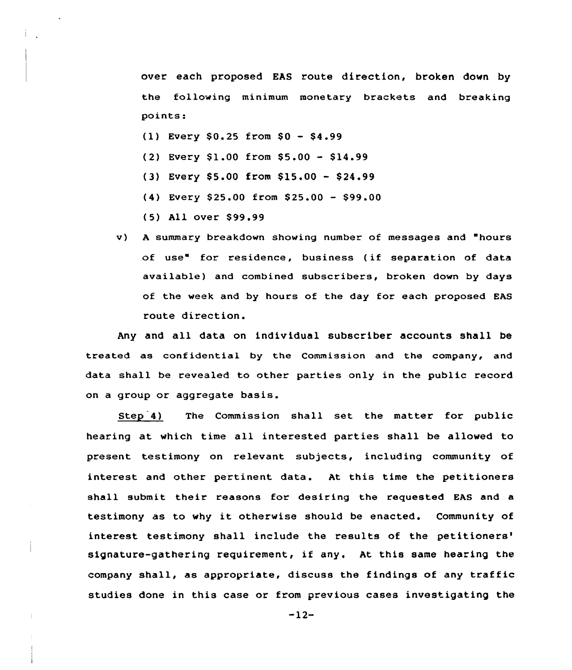over each proposed EAS route direction, broken down by the following minimum monetary brackets and breaking points:

- $(1)$  Every \$0.25 from \$0 \$4.99
- (2) Every \$1.00 from \$5.00 \$14.99
- $(3)$  Every \$5.00 from \$15.00 \$24.99
- (4) Every \$ 25.00 from \$ 25.00 \$ 99.00
- (5) All over \$ 99.99
- v) <sup>A</sup> summary breakdown showing number of messages and "hours of use" for residence, business (if separation of data available) and combined subscribers, broken down by days of the week and by hours of the day for each proposed EAS route direction.

Any and all data on individual subscriber accounts shall be treated as confidential by the Commission and the company, and data shall be revealed to other parties only in the public record on a group or aggregate basis.

Step 4) The Commission shall set the matter for public hearing at which time all interested parties shall be allowed to present testimony on relevant subjects, including community of interest and other pertinent data. At this time the petitioners shall submit their reasons for desiring the requested EAS and a testimony as to why it otherwise should be enacted. Community of interest testimony shall include the results of the petitioners' signature-gathering requirement, if any. At this same hearing the company shall, as appropriate, discuss the findings of any traffic studies done in this case or from previous cases investigating the

 $-12-$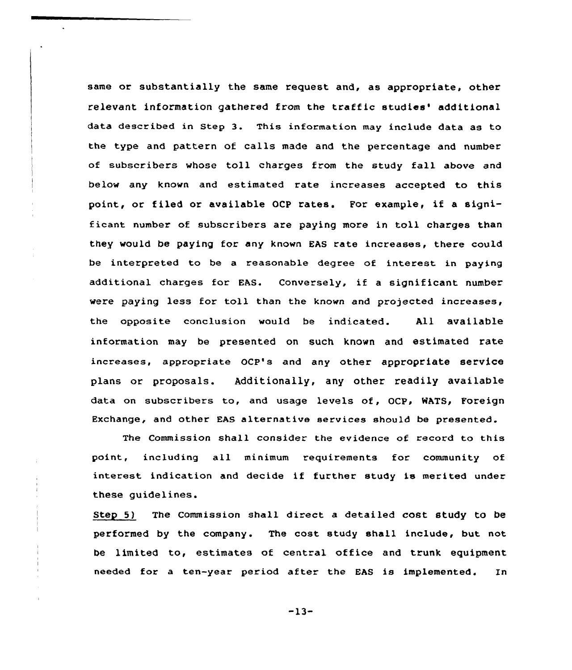same or substantially the same request and, as appropriate, other relevant information gathered from the traffic studies' additional data described in Step 3. This information may include data as to the type and pattern of calls made and the percentage and number of subscribers whose toll charges from the study fall above and below any known and estimated rate increases accepted to this point, or filed or available OCP rates. For example, if a significant number of subscribers are paying more in toll charges than they would be paying for any known EAS rate increases, there could be interpreted to be a reasonable degree of interest in paying additional charges for EAS. Conversely, if a significant number were paying less for toll than the known and projected increases, the opposite conclusion would be indicated. All available information may be presented on such known and estimated rate increases, appropriate OCP's and any other appropriate service plans or proposals. Additionally, any other readily available data on subscribers to, and usage levels of, OCP, WATS, Foreign Exchange, and other EAS alternative services should be presented.

The Commission shall consider the evidence of record to this point, including all minimum requirements for community of interest indication and decide if further study is merited under these guidelines.

Step 5) The Commission shall direct a detailed cost study to be performed by the company. The cost study shall include, but not be limited to, estimates of central office and trunk equipment needed for a ten-year period after the EAS is implemented. In

-13-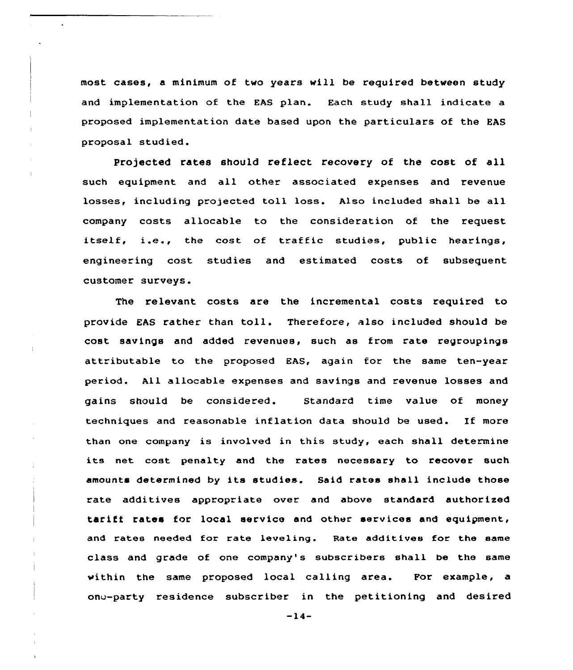most cases, a minimum of two years will be required between study and implementation of the EAS plan. Each study shall indicate a proposed implementation date based upon the particulars of the EAS proposal studied.

Pro)ected rates should reflect recovery of the cost of all such equipment and all other associated expenses and revenue losses, including projected toll loss. Also included shall be all company costs allocable to the consideration of the request. itself, i.e., the cost of traffic studies, public hearings, engineering cost studies and estimated costs of subsequent customer surveys.

The relevant costs are the incremental costs required to provide EAS rather than toll. Therefore, also included should be cost savings and added revenues, such as from rate regroupings attributable to the proposed EAS, again for the same ten-year period. All allocable expenses and savings and revenue losses and gains should be considered. Standard time value of money techniques and reasonable inflation data should be used. If more than one company is involved in this study, each shall determine its net cost penalty and the rates necessary to recover such amounts determined by its studies. Said rates shall include those rate additives appropriate over and above standard authorized tariff rates for local service and other services and equipment, and rates needed for rate leveling. Rate additives for the same class and grade of one company's subscribers shall be the same within the same proposed local calling area. Por example, a one-party residence subscriber in the petitioning and desired

 $-14-$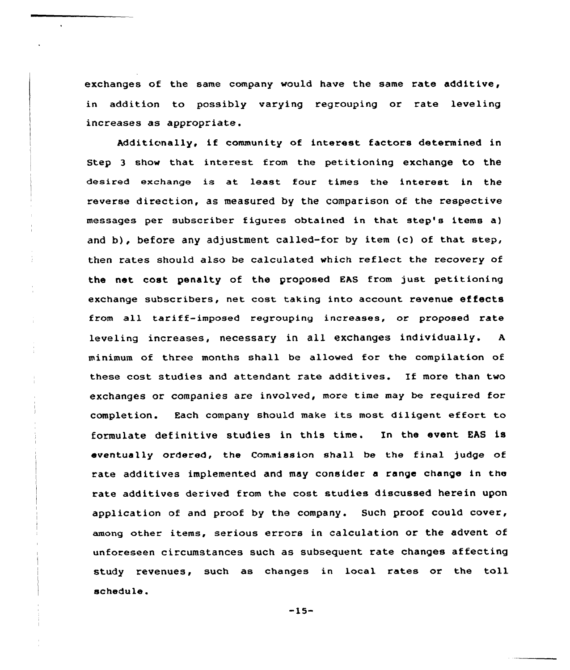exchanges of the same company would have the same rate additive, in addition to possibly varying regrouping or rate leveling increases as appropriate.

Additionally, if community of interest factors determined in Step 3 show that interest from the petitioning exchange to the desired exchange is at least four times the interest in the reverse direction, as measured by the comparison of the respective messages per subscriber figures obtained in that step's items a) and b), before any adjustment called-for by item (c) of that step, then rates should also be calculated which reflect the recovery of the net cost penalty of the proposed EAS from just petitioning exchange subscribers, net cost taking into account revenue effects from all tariff-imposed regrouping increases, or proposed rate leveling increases, necessary in all exchanges individually. <sup>A</sup> minimum of three months shall be allowed for the compilation of these cost studies and attendant rate additives. If more than two exchanges or companies are involved, more time may be required for completion. Each company should make its most diligent effort to formulate definitive studies in this time. In the event EAS is eventually ordered, the Commission shall be the final judge of rate additives implemented and may consider a range change in the rate additives derived from the cost studies discussed herein upon application of and proof by the company. Such proof could cover, among other items, serious errors in calculation or the advent of unforeseen circumstances such as subsequent rate changes affecting study revenues, such as changes in local rates or the toll schedule.

-15-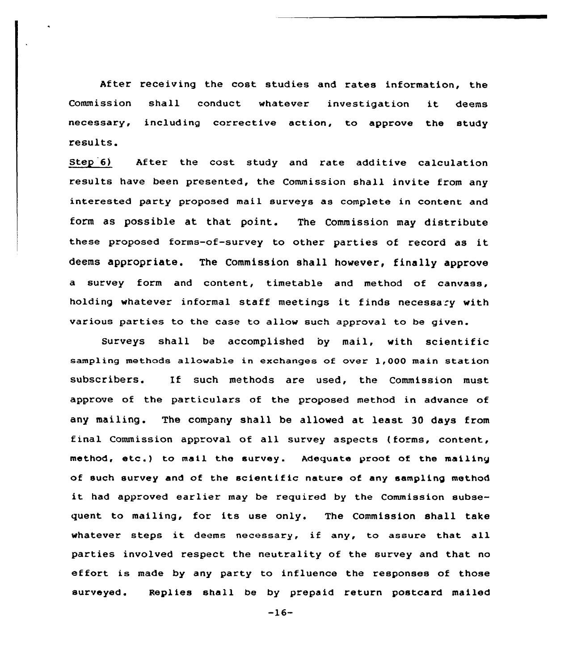After receiving the cost studies and rates information, the Commission shall conduct whatever investigation it deems necessary, including corrective action, to approve the study results.

Step 6} After the cost study and rate additive calculation results have been presented, the Commission shall invite from any interested party proposed mail surveys as complete in content and form as possible at that point. The Commission may distribute these proposed forms-of-survey to other parties of record as it deems appropriate. The Commission shall however, finally approve a survey form and content, timetable and method of canvass, holding whatever informal staff meetings it finds necessary with various parties to the case to allow such approval to be given.

Surveys shall be accomplished by mail, with scientific sampling methods allowable in exchanges of over l,000 main station subscribers. If such methods are used, the Commission must approve of the particulars of the proposed method in advance of any mailing. The company shall be allowed at least 30 days from final Commission approval of all survey aspects (forms, content, method, etc.} to mail the survey. Adequate proof of the mailing of such survey and of the scientific nature of any sampling method it had approved earlier may be required by the Commission subsequent to mailing, for its use only. The Commission shall take whatever steps it deems necessary, if any, to assure that all parties involved respect the neutrality of the survey and that no effort is made by any party to influence the responses of those surveyed. Replies shall be by prepaid return postcard mailed

 $-16-$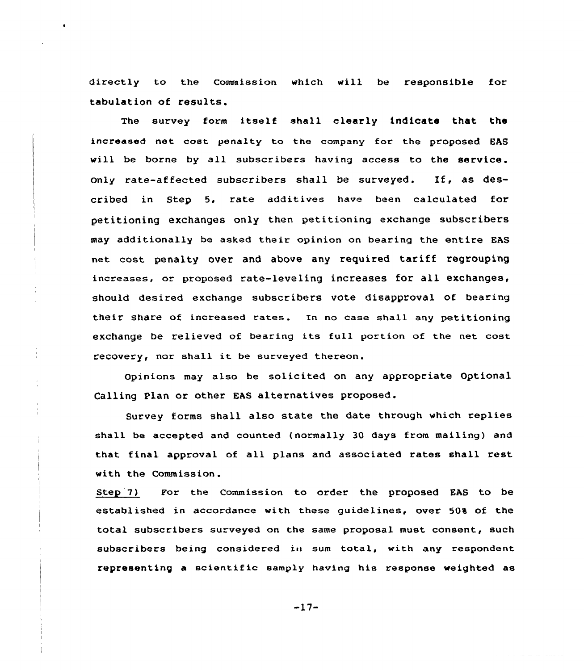directly to the Commission which will be responsible for tabulation of results.

The survey form itself shall clearly indicate that the increased net cost penalty to the company for the proposed EAS will be borne by all subscribers having access to the service. only rate-affected subscribers shall be surveyed. If, as described in Step 5, rate additives have been calculated for petitioning exchanges only then petitioning exchange subscribers may additionally be asked their opinion on bearing the entire EAS net cost penalty over and above any required tariff regrouping increases, or proposed rate-leveling increases for all exchanges, should desired exchange subscribers vote disapproval of bearing their share of increased rates. In no case shall any petitioning exchange be relieved of bearing its full portion of the net cost recovery, nor shall it be surveyed thereon.

opinions may also be solicited on any appropriate Optional Calling Plan or other EAS alternatives proposed.

Survey forms shall also state the date through which replies shall be accepted and counted (normally 30 days from mailing) and that final approval of all plans and associated rates shall rest with the Commission.

Step 7) For the Commission to order the proposed EAS to be established in accordance with these guidelines, over 50% of the total subscribers surveyed on the same proposal must consent, such subscribers being considered in sum total, with any respondent representing a scientific samply having his response weighted as

 $-17-$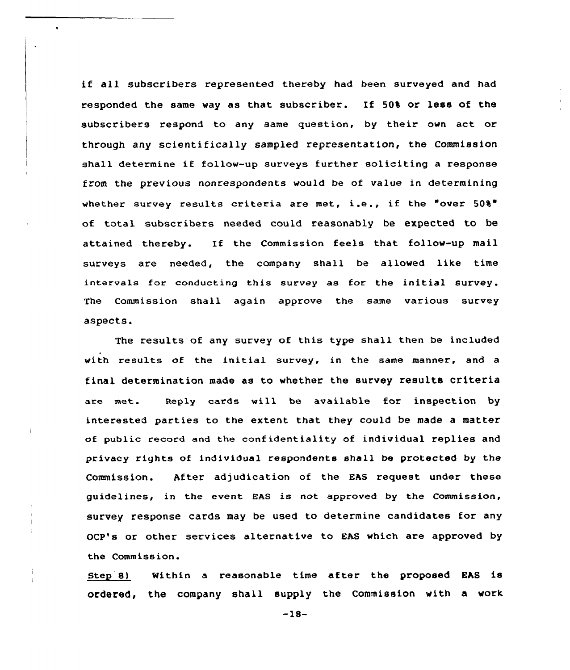if all subscribers represented thereby had been surveyed and had responded the same way as that subscriber. If 50% or less of the subscribers respond to any same question, by their own act or through any scientifically sampled representation, the Commission shall determine if follow-up surveys further soliciting <sup>a</sup> response from the previous nonrespondents would be of value in determining whether survey results criteria are met, i.e., if the "over 50%" of total subscribers needed could reasonably be expected to be attained thereby. If the Commission feels that follow-up mail surveys are needed, the company shall be allowed like time intervals for conducting this survey as for the initial survey. The Commission shall again approve the same various survey aspects.

The results of any survey of this type shall then be included with results of the initial survey, in the same manner, and a final determination made as to whether the survey results criteria are met. Reply cards will be available for inspection by interested parties to the extent that they could be made a matter of public record and the confidentiality of individual replies and privacy rights of individual respondents shall be protected by the Commission. After adjudication of the EAS request under these guidelines, in the event EAS is not approved by the Commission, survey response cards may be used to determine candidates for any OCP's or other services alternative to EAS which are approved by the Commission.

 $\mathbf{L}$  $\mathbb{L}$ 

> Step 8) within <sup>a</sup> reasonable time after the proposed EAS is ordered, the company shall supply the Commission with a work

> > -18-